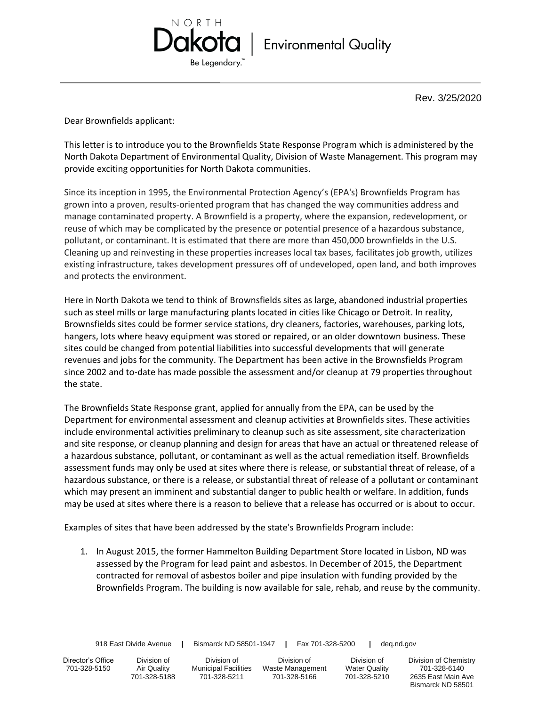

Rev. 3/25/2020

Dear Brownfields applicant:

This letter is to introduce you to the Brownfields State Response Program which is administered by the North Dakota Department of Environmental Quality, Division of Waste Management. This program may provide exciting opportunities for North Dakota communities.

Since its inception in 1995, the Environmental Protection Agency's (EPA's) Brownfields Program has grown into a proven, results-oriented program that has changed the way communities address and manage contaminated property. A Brownfield is a property, where the expansion, redevelopment, or reuse of which may be complicated by the presence or potential presence of a hazardous substance, pollutant, or contaminant. It is estimated that there are more than 450,000 brownfields in the U.S. Cleaning up and reinvesting in these properties increases local tax bases, facilitates job growth, utilizes existing infrastructure, takes development pressures off of undeveloped, open land, and both improves and protects the environment.

Here in North Dakota we tend to think of Brownsfields sites as large, abandoned industrial properties such as steel mills or large manufacturing plants located in cities like Chicago or Detroit. In reality, Brownsfields sites could be former service stations, dry cleaners, factories, warehouses, parking lots, hangers, lots where heavy equipment was stored or repaired, or an older downtown business. These sites could be changed from potential liabilities into successful developments that will generate revenues and jobs for the community. The Department has been active in the Brownsfields Program since 2002 and to-date has made possible the assessment and/or cleanup at 79 properties throughout the state.

The Brownfields State Response grant, applied for annually from the EPA, can be used by the Department for environmental assessment and cleanup activities at Brownfields sites. These activities include environmental activities preliminary to cleanup such as site assessment, site characterization and site response, or cleanup planning and design for areas that have an actual or threatened release of a hazardous substance, pollutant, or contaminant as well as the actual remediation itself. Brownfields assessment funds may only be used at sites where there is release, or substantial threat of release, of a hazardous substance, or there is a release, or substantial threat of release of a pollutant or contaminant which may present an imminent and substantial danger to public health or welfare. In addition, funds may be used at sites where there is a reason to believe that a release has occurred or is about to occur.

Examples of sites that have been addressed by the state's Brownfields Program include:

1. In August 2015, the former Hammelton Building Department Store located in Lisbon, ND was assessed by the Program for lead paint and asbestos. In December of 2015, the Department contracted for removal of asbestos boiler and pipe insulation with funding provided by the Brownfields Program. The building is now available for sale, rehab, and reuse by the community.